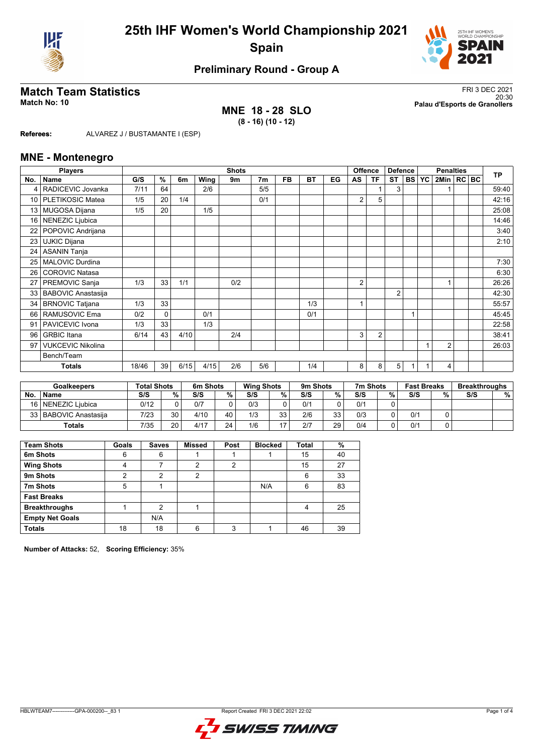



## **Preliminary Round - Group A**

## **MNE 18 - 28 SLO (8 - 16) (10 - 12)**

**Match Team Statistics** FRI 3 DEC 2021 20:30 **Match No: 10 Palau d'Esports de Granollers**

**Referees:** ALVAREZ J / BUSTAMANTE I (ESP)

### **MNE - Montenegro**

|                 | <b>Players</b>            |       | <b>Shots</b> |      |      |     |                | <b>Offence</b> | <b>Defence</b> |    | <b>Penalties</b> |                |                |           | <b>TP</b> |                |  |  |       |
|-----------------|---------------------------|-------|--------------|------|------|-----|----------------|----------------|----------------|----|------------------|----------------|----------------|-----------|-----------|----------------|--|--|-------|
| No.             | <b>Name</b>               | G/S   | %            | 6m   | Wing | 9m  | 7 <sub>m</sub> | <b>FB</b>      | <b>BT</b>      | EG | AS               | <b>TF</b>      | <b>ST</b>      | <b>BS</b> | <b>YC</b> | 2Min   RC BC   |  |  |       |
| 4               | RADICEVIC Jovanka         | 7/11  | 64           |      | 2/6  |     | 5/5            |                |                |    |                  |                | 3              |           |           |                |  |  | 59:40 |
| 10 <sup>1</sup> | PLETIKOSIC Matea          | 1/5   | 20           | 1/4  |      |     | 0/1            |                |                |    | 2                | 5              |                |           |           |                |  |  | 42:16 |
| 13 <sup>1</sup> | <b>MUGOSA Dijana</b>      | 1/5   | 20           |      | 1/5  |     |                |                |                |    |                  |                |                |           |           |                |  |  | 25:08 |
| 16              | NENEZIC Ljubica           |       |              |      |      |     |                |                |                |    |                  |                |                |           |           |                |  |  | 14:46 |
| 22              | POPOVIC Andrijana         |       |              |      |      |     |                |                |                |    |                  |                |                |           |           |                |  |  | 3:40  |
| 23              | <b>UJKIC Dijana</b>       |       |              |      |      |     |                |                |                |    |                  |                |                |           |           |                |  |  | 2:10  |
| 24              | <b>ASANIN Tanja</b>       |       |              |      |      |     |                |                |                |    |                  |                |                |           |           |                |  |  |       |
| 25              | <b>MALOVIC Durdina</b>    |       |              |      |      |     |                |                |                |    |                  |                |                |           |           |                |  |  | 7:30  |
| 26              | <b>COROVIC Natasa</b>     |       |              |      |      |     |                |                |                |    |                  |                |                |           |           |                |  |  | 6:30  |
| 27              | PREMOVIC Sanja            | 1/3   | 33           | 1/1  |      | 0/2 |                |                |                |    | 2                |                |                |           |           |                |  |  | 26:26 |
| 33              | <b>BABOVIC Anastasija</b> |       |              |      |      |     |                |                |                |    |                  |                | $\overline{2}$ |           |           |                |  |  | 42:30 |
| 34              | <b>BRNOVIC Tatjana</b>    | 1/3   | 33           |      |      |     |                |                | 1/3            |    | 1                |                |                |           |           |                |  |  | 55:57 |
| 66              | RAMUSOVIC Ema             | 0/2   | $\mathbf{0}$ |      | 0/1  |     |                |                | 0/1            |    |                  |                |                |           |           |                |  |  | 45:45 |
| 91              | PAVICEVIC Ivona           | 1/3   | 33           |      | 1/3  |     |                |                |                |    |                  |                |                |           |           |                |  |  | 22:58 |
| 96              | <b>GRBIC</b> Itana        | 6/14  | 43           | 4/10 |      | 2/4 |                |                |                |    | 3                | $\overline{2}$ |                |           |           |                |  |  | 38:41 |
| 97              | <b>VUKCEVIC Nikolina</b>  |       |              |      |      |     |                |                |                |    |                  |                |                |           |           | $\overline{2}$ |  |  | 26:03 |
|                 | Bench/Team                |       |              |      |      |     |                |                |                |    |                  |                |                |           |           |                |  |  |       |
|                 | <b>Totals</b>             | 18/46 | 39           | 6/15 | 4/15 | 2/6 | 5/6            |                | 1/4            |    | 8                | 8              | 5              |           |           | 4              |  |  |       |

|    | <b>Goalkeepers</b>      | <b>Total Shots</b> |        | 6m Shots |    | <b>Wing Shots</b> |    | 9m Shots |    | 7m Shots |   | <b>Fast Breaks</b> |   | <b>Breakthroughs</b> |   |
|----|-------------------------|--------------------|--------|----------|----|-------------------|----|----------|----|----------|---|--------------------|---|----------------------|---|
| No | <b>Name</b>             | S/S                | $\%$ . | S/S      | %  | S/S               | %  | S/S      | %  | S/S      | % | S/S                | % | S/S                  | % |
|    | 16   NENEZIC Liubica    | 0/12               |        | 0/7      |    | 0/3               |    | 0/1      |    | 0/1      |   |                    |   |                      |   |
|    | 33   BABOVIC Anastasija | 7/23               | 30     | 4/10     | 40 | 1/3               | 33 | 2/6      | 33 | 0/3      |   | 0/1                |   |                      |   |
|    | <b>Totals</b>           | 7/35               | 20     | 4/17     | 24 | 1/6               |    | 2/7      | 29 | 0/4      |   | 0/1                |   |                      |   |

| <b>Team Shots</b>      | Goals | <b>Saves</b> | <b>Missed</b> | Post | <b>Blocked</b> | <b>Total</b> | %  |
|------------------------|-------|--------------|---------------|------|----------------|--------------|----|
| 6m Shots               | 6     | 6            |               |      |                | 15           | 40 |
| <b>Wing Shots</b>      | 4     |              | っ             | າ    |                | 15           | 27 |
| 9m Shots               | ົ     | っ            | 2             |      |                | 6            | 33 |
| 7m Shots               | 5     |              |               |      | N/A            | 6            | 83 |
| <b>Fast Breaks</b>     |       |              |               |      |                |              |    |
| <b>Breakthroughs</b>   |       | 2            |               |      |                | 4            | 25 |
| <b>Empty Net Goals</b> |       | N/A          |               |      |                |              |    |
| <b>Totals</b>          | 18    | 18           | 6             | 3    |                | 46           | 39 |

**Number of Attacks:** 52, **Scoring Efficiency:** 35%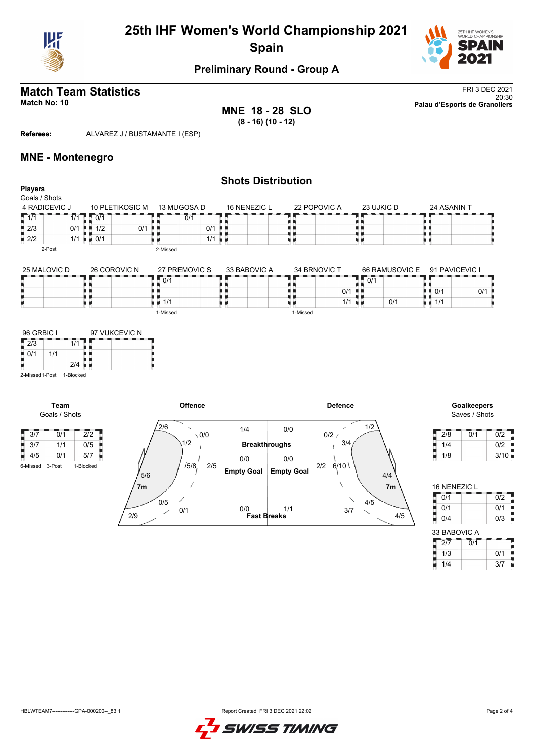

# **25th IHF Women's World Championship 2021 Spain**



## **Preliminary Round - Group A**

**MNE 18 - 28 SLO (8 - 16) (10 - 12)**

**Match Team Statistics** FRI 3 DEC 2021 20:30 **Match No: 10 Palau d'Esports de Granollers**

**Referees:** ALVAREZ J / BUSTAMANTE I (ESP)

### **MNE - Montenegro**

|                                                                                              |                                         |         |                     |                      | <b>Shots Distribution</b> |                   |                |                |                                   |                                                 |
|----------------------------------------------------------------------------------------------|-----------------------------------------|---------|---------------------|----------------------|---------------------------|-------------------|----------------|----------------|-----------------------------------|-------------------------------------------------|
| <b>Players</b>                                                                               |                                         |         |                     |                      |                           |                   |                |                |                                   |                                                 |
| Goals / Shots                                                                                |                                         |         |                     |                      |                           |                   |                |                |                                   |                                                 |
| 4 RADICEVIC J                                                                                | 10 PLETIKOSIC M                         |         | 13 MUGOSA D         |                      | 16 NENEZIC L              |                   | 22 POPOVIC A   | 23 UJKIC D     | 24 ASANIN T                       |                                                 |
| $\sqrt{1/1}$<br>$\overline{1/1}$                                                             | $\sqrt{0/1}$                            |         | 0/1                 |                      |                           |                   |                |                |                                   |                                                 |
| $\frac{1}{2}$ 2/3                                                                            | $0/1$ $\frac{1}{2}$ $\frac{1}{2}$ $1/2$ | $0/1$ . |                     | $0/1$ .              |                           |                   |                | п              | п                                 |                                                 |
| $\blacksquare$ 2/2                                                                           | $1/1 = 0/1$                             |         |                     | $1/1$ $\blacksquare$ |                           | uи                |                | uи             | u 11                              |                                                 |
| 2-Post                                                                                       |                                         |         | 2-Missed            |                      |                           |                   |                |                |                                   |                                                 |
|                                                                                              |                                         |         |                     |                      |                           |                   |                |                |                                   |                                                 |
| 25 MALOVIC D                                                                                 | 26 COROVIC N                            |         | 27 PREMOVIC S       |                      | 33 BABOVIC A              |                   | 34 BRNOVIC T   | 66 RAMUSOVIC E | 91 PAVICEVIC I                    |                                                 |
|                                                                                              |                                         |         | $\overline{0/1}$    |                      |                           |                   |                | $\sqrt{0/1}$   |                                   |                                                 |
|                                                                                              | . .                                     |         |                     | . .                  |                           |                   | $0/1$ .        |                | $\blacksquare$ $\blacksquare$ 0/1 | 0/1                                             |
|                                                                                              | u 1                                     |         |                     |                      |                           |                   |                |                |                                   |                                                 |
|                                                                                              | uи                                      |         | $\blacksquare$ 1/1  | uи                   |                           | . .               | $1/1$ u m      | 0/1            | $\blacksquare$ $\blacksquare$ 1/1 |                                                 |
|                                                                                              |                                         |         | 1-Missed            |                      |                           | 1-Missed          |                |                |                                   |                                                 |
| $\sqrt{2/3}$<br>$\overline{1/1}$<br>$\frac{1}{2}$ 0/1<br>1/1<br>2-Missed 1-Post<br>1-Blocked | Т<br>$2/4$ $\blacksquare$               |         |                     |                      |                           |                   |                |                |                                   |                                                 |
| Team<br>Goals / Shots                                                                        |                                         |         | <b>Offence</b>      |                      |                           |                   | <b>Defence</b> |                |                                   | <b>Goalkeepers</b><br>Saves / Shots             |
| $\sqrt{37}$<br>0/1                                                                           | $\overline{2/2}$                        |         | 2/6<br>$\checkmark$ | $\setminus$ 0/0      | 1/4                       | 0/0               | $0/2$ /        | 1/2            | $\overline{2/8}$                  | $\overline{0/2}$<br>$\overline{0}/\overline{1}$ |
| $\blacksquare$ 3/7<br>1/1                                                                    | 0/5                                     |         | 1/2                 |                      | <b>Breakthroughs</b>      |                   | 3/4            |                | 1/4                               | 0/2                                             |
| $\blacksquare$ 4/5<br>0/1                                                                    | 5/7                                     |         |                     |                      |                           |                   |                |                | 1/8<br>ш                          | 3/10                                            |
|                                                                                              |                                         |         |                     |                      | 0/0                       | 0/0               |                |                |                                   |                                                 |
| 6-Missed<br>3-Post                                                                           | 1-Blocked                               | 5/6     | /5/8                | 2/5                  | <b>Empty Goal</b>         | <b>Empty Goal</b> | 2/2<br>6/10    | 4/4            |                                   |                                                 |

**Fast Breaks** 0/0 1/1

4/5

16 NENEZIC L

33 BABOVIC A 2/7 0/1 1/3 0/1 1/4 3/7

0/1 0/2 **0/1** 0/1 0/4 0/3

f,

t

Н

3/7

4/5

 $\overline{\phantom{0}}$ 

**7m 7m**

2/9

0/1

 $0/5$ 

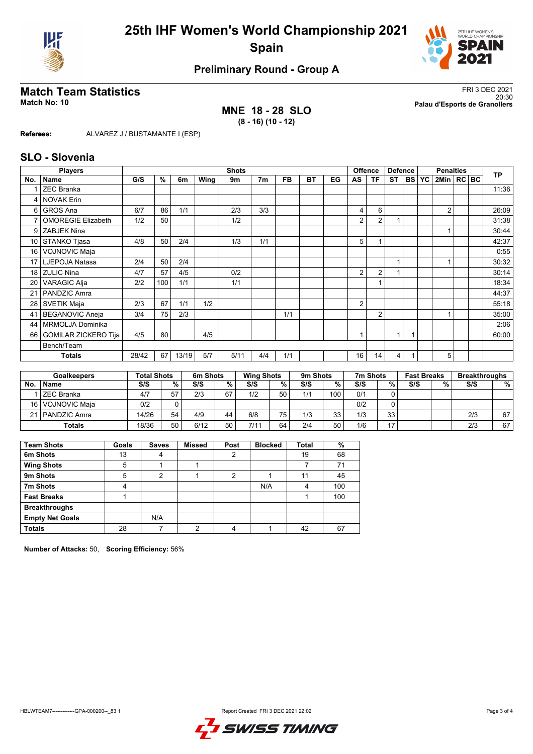



## **Preliminary Round - Group A**

**MNE 18 - 28 SLO (8 - 16) (10 - 12)**

**Match Team Statistics** FRI 3 DEC 2021 20:30 **Match No: 10 Palau d'Esports de Granollers**

**Referees:** ALVAREZ J / BUSTAMANTE I (ESP)

### **SLO - Slovenia**

| No.<br>4        | <b>Players</b>              |       |     |       |      | <b>Shots</b> |                |           |    |    |                | <b>Offence</b> | <b>Defence</b> |           |           | <b>Penalties</b> |  | <b>TP</b> |
|-----------------|-----------------------------|-------|-----|-------|------|--------------|----------------|-----------|----|----|----------------|----------------|----------------|-----------|-----------|------------------|--|-----------|
|                 | <b>Name</b>                 | G/S   | %   | 6m    | Wing | 9m           | 7 <sub>m</sub> | <b>FB</b> | BT | EG | AS             | ΤF             | <b>ST</b>      | <b>BS</b> | <b>YC</b> | 2Min   RC   BC   |  |           |
|                 | <b>ZEC Branka</b>           |       |     |       |      |              |                |           |    |    |                |                |                |           |           |                  |  | 11:36     |
|                 | <b>NOVAK Erin</b>           |       |     |       |      |              |                |           |    |    |                |                |                |           |           |                  |  |           |
| 6               | <b>GROS Ana</b>             | 6/7   | 86  | 1/1   |      | 2/3          | 3/3            |           |    |    | 4              | 6              |                |           |           | $\overline{2}$   |  | 26:09     |
| 7               | <b>OMOREGIE Elizabeth</b>   | 1/2   | 50  |       |      | 1/2          |                |           |    |    | 2              | 2              |                |           |           |                  |  | 31:38     |
| 9               | <b>ZABJEK Nina</b>          |       |     |       |      |              |                |           |    |    |                |                |                |           |           |                  |  | 30:44     |
| 10 <sup>1</sup> | STANKO Tjasa                | 4/8   | 50  | 2/4   |      | 1/3          | 1/1            |           |    |    | 5              |                |                |           |           |                  |  | 42:37     |
| 16 <sup>1</sup> | VOJNOVIC Maja               |       |     |       |      |              |                |           |    |    |                |                |                |           |           |                  |  | 0:55      |
| 17 <sup>1</sup> | LJEPOJA Natasa              | 2/4   | 50  | 2/4   |      |              |                |           |    |    |                |                | 1              |           |           |                  |  | 30:32     |
| 18              | <b>ZULIC Nina</b>           | 4/7   | 57  | 4/5   |      | 0/2          |                |           |    |    | 2              | 2              |                |           |           |                  |  | 30:14     |
| 20              | <b>VARAGIC Alja</b>         | 2/2   | 100 | 1/1   |      | 1/1          |                |           |    |    |                |                |                |           |           |                  |  | 18:34     |
| 21              | PANDZIC Amra                |       |     |       |      |              |                |           |    |    |                |                |                |           |           |                  |  | 44:37     |
| 28              | <b>SVETIK Maja</b>          | 2/3   | 67  | 1/1   | 1/2  |              |                |           |    |    | $\overline{2}$ |                |                |           |           |                  |  | 55:18     |
| 41              | <b>BEGANOVIC Aneja</b>      | 3/4   | 75  | 2/3   |      |              |                | 1/1       |    |    |                | $\overline{2}$ |                |           |           |                  |  | 35:00     |
| 44              | MRMOLJA Dominika            |       |     |       |      |              |                |           |    |    |                |                |                |           |           |                  |  | 2:06      |
| 66              | <b>GOMILAR ZICKERO Tija</b> | 4/5   | 80  |       | 4/5  |              |                |           |    |    |                |                | 1              |           |           |                  |  | 60:00     |
|                 | Bench/Team                  |       |     |       |      |              |                |           |    |    |                |                |                |           |           |                  |  |           |
|                 | <b>Totals</b>               | 28/42 | 67  | 13/19 | 5/7  | 5/11         | 4/4            | 1/1       |    |    | 16             | 14             | 4              |           |           | 5                |  |           |

|           | <b>Goalkeepers</b> | <b>Total Shots</b> |    | 6m Shots |    | <b>Wing Shots</b> |    | 9m Shots |     | 7m Shots |      | <b>Fast Breaks</b> |   | <b>Breakthroughs</b> |    |
|-----------|--------------------|--------------------|----|----------|----|-------------------|----|----------|-----|----------|------|--------------------|---|----------------------|----|
| <b>No</b> | <b>Name</b>        | S/S                | %  | S/S      | %  | S/S               | %  | S/S      | %   | S/S      | $\%$ | S/S                | % | S/S                  | %  |
|           | ZEC Branka         | 4/7                | 57 | 2/3      | 67 | 1/2               | 50 | 1/1      | 100 | 0/1      |      |                    |   |                      |    |
|           | 16   VOJNOVIC Maja | 0/2                |    |          |    |                   |    |          |     | 0/2      |      |                    |   |                      |    |
|           | 21   PANDZIC Amra  | 14/26              | 54 | 4/9      | 44 | 6/8               | 75 | 1/3      | 33  | 1/3      | 33   |                    |   | 2/3                  | 67 |
|           | <b>Totals</b>      | 18/36              | 50 | 6/12     | 50 | 7/11              | 64 | 2/4      | 50  | 1/6      | 17   |                    |   | 2/3                  | 67 |

| <b>Team Shots</b>      | Goals | <b>Saves</b> | <b>Missed</b> | Post | <b>Blocked</b> | <b>Total</b> | %   |
|------------------------|-------|--------------|---------------|------|----------------|--------------|-----|
| 6m Shots               | 13    | 4            |               | 2    |                | 19           | 68  |
| <b>Wing Shots</b>      | 5     |              |               |      |                |              | 71  |
| 9m Shots               | 5     | 2            |               | 2    |                | 11           | 45  |
| 7m Shots               | 4     |              |               |      | N/A            | 4            | 100 |
| <b>Fast Breaks</b>     |       |              |               |      |                |              | 100 |
| <b>Breakthroughs</b>   |       |              |               |      |                |              |     |
| <b>Empty Net Goals</b> |       | N/A          |               |      |                |              |     |
| <b>Totals</b>          | 28    |              | ◠             | 4    |                | 42           | 67  |

**Number of Attacks:** 50, **Scoring Efficiency:** 56%